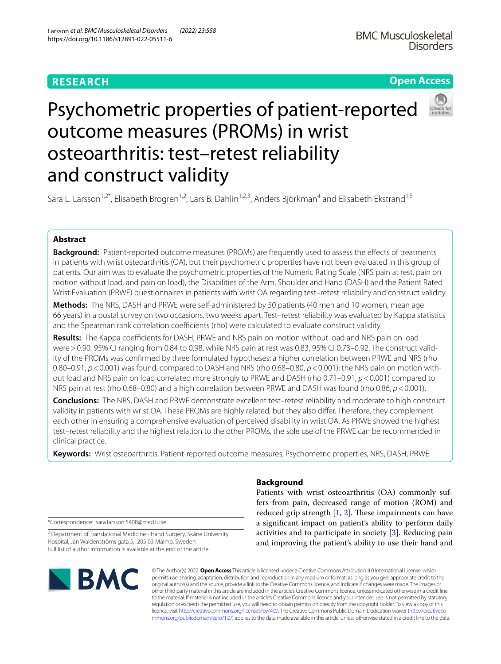# **RESEARCH**

**Open Access**

# Psychometric properties of patient-reported outcome measures (PROMs) in wrist osteoarthritis: test–retest reliability and construct validity

Sara L. Larsson<sup>1,2\*</sup>, Elisabeth Brogren<sup>1,2</sup>, Lars B. Dahlin<sup>1,2,3</sup>, Anders Björkman<sup>4</sup> and Elisabeth Ekstrand<sup>1,5</sup>

# **Abstract**

**Background:** Patient-reported outcome measures (PROMs) are frequently used to assess the effects of treatments in patients with wrist osteoarthritis (OA), but their psychometric properties have not been evaluated in this group of patients. Our aim was to evaluate the psychometric properties of the Numeric Rating Scale (NRS pain at rest, pain on motion without load, and pain on load), the Disabilities of the Arm, Shoulder and Hand (DASH) and the Patient Rated Wrist Evaluation (PRWE) questionnaires in patients with wrist OA regarding test–retest reliability and construct validity.

**Methods:** The NRS, DASH and PRWE were self-administered by 50 patients (40 men and 10 women, mean age 66 years) in a postal survey on two occasions, two weeks apart. Test–retest reliability was evaluated by Kappa statistics and the Spearman rank correlation coefficients (rho) were calculated to evaluate construct validity.

Results: The Kappa coefficients for DASH, PRWE and NRS pain on motion without load and NRS pain on load were > 0.90, 95% CI ranging from 0.84 to 0.98, while NRS pain at rest was 0.83, 95% CI 0.73–0.92. The construct validity of the PROMs was confrmed by three formulated hypotheses: a higher correlation between PRWE and NRS (rho 0.80–0.91, *p*<0.001) was found, compared to DASH and NRS (rho 0.68–0.80, *p*<0.001); the NRS pain on motion without load and NRS pain on load correlated more strongly to PRWE and DASH (rho 0.71–0.91, *p*<0.001) compared to NRS pain at rest (rho 0.68–0.80) and a high correlation between PRWE and DASH was found (rho 0.86, *p*<0.001).

**Conclusions:** The NRS, DASH and PRWE demonstrate excellent test–retest reliability and moderate to high construct validity in patients with wrist OA. These PROMs are highly related, but they also difer. Therefore, they complement each other in ensuring a comprehensive evaluation of perceived disability in wrist OA. As PRWE showed the highest test–retest reliability and the highest relation to the other PROMs, the sole use of the PRWE can be recommended in clinical practice.

**Keywords:** Wrist osteoarthritis, Patient-reported outcome measures, Psychometric properties, NRS, DASH, PRWE

\*Correspondence: sara.larsson.5408@med.lu.se

<sup>2</sup> Department of Translational Medicine - Hand Surgery, Skåne University Hospital, Jan Waldenströms gata 5, 205 03 Malmö, Sweden Full list of author information is available at the end of the article

# **BMC**

# **Background**

Patients with wrist osteoarthritis (OA) commonly suffers from pain, decreased range of motion (ROM) and reduced grip strength  $[1, 2]$  $[1, 2]$  $[1, 2]$ . These impairments can have a signifcant impact on patient's ability to perform daily activities and to participate in society [[3\]](#page-5-2). Reducing pain and improving the patient's ability to use their hand and

© The Author(s) 2022. **Open Access** This article is licensed under a Creative Commons Attribution 4.0 International License, which permits use, sharing, adaptation, distribution and reproduction in any medium or format, as long as you give appropriate credit to the original author(s) and the source, provide a link to the Creative Commons licence, and indicate if changes were made. The images or other third party material in this article are included in the article's Creative Commons licence, unless indicated otherwise in a credit line to the material. If material is not included in the article's Creative Commons licence and your intended use is not permitted by statutory regulation or exceeds the permitted use, you will need to obtain permission directly from the copyright holder. To view a copy of this licence, visit [http://creativecommons.org/licenses/by/4.0/.](http://creativecommons.org/licenses/by/4.0/) The Creative Commons Public Domain Dedication waiver ([http://creativeco](http://creativecommons.org/publicdomain/zero/1.0/) [mmons.org/publicdomain/zero/1.0/](http://creativecommons.org/publicdomain/zero/1.0/)) applies to the data made available in this article, unless otherwise stated in a credit line to the data.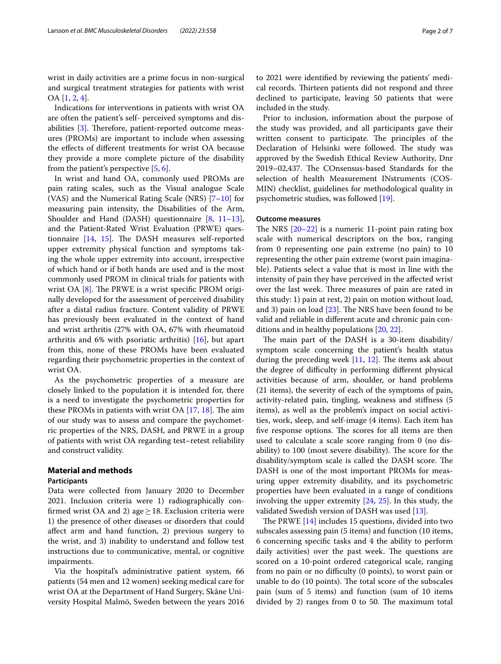wrist in daily activities are a prime focus in non-surgical and surgical treatment strategies for patients with wrist OA [[1,](#page-5-0) [2](#page-5-1), [4\]](#page-5-3).

Indications for interventions in patients with wrist OA are often the patient's self- perceived symptoms and dis-abilities [\[3](#page-5-2)]. Therefore, patient-reported outcome measures (PROMs) are important to include when assessing the efects of diferent treatments for wrist OA because they provide a more complete picture of the disability from the patient's perspective [[5,](#page-5-4) [6](#page-5-5)].

In wrist and hand OA, commonly used PROMs are pain rating scales, such as the Visual analogue Scale (VAS) and the Numerical Rating Scale (NRS)  $[7-10]$  $[7-10]$  $[7-10]$  for measuring pain intensity, the Disabilities of the Arm, Shoulder and Hand (DASH) questionnaire [[8,](#page-5-8) [11](#page-5-9)[–13](#page-5-10)], and the Patient-Rated Wrist Evaluation (PRWE) questionnaire  $[14, 15]$  $[14, 15]$  $[14, 15]$ . The DASH measures self-reported upper extremity physical function and symptoms taking the whole upper extremity into account, irrespective of which hand or if both hands are used and is the most commonly used PROM in clinical trials for patients with wrist OA  $[8]$  $[8]$ . The PRWE is a wrist specific PROM originally developed for the assessment of perceived disability after a distal radius fracture. Content validity of PRWE has previously been evaluated in the context of hand and wrist arthritis (27% with OA, 67% with rheumatoid arthritis and 6% with psoriatic arthritis) [[16\]](#page-6-2), but apart from this, none of these PROMs have been evaluated regarding their psychometric properties in the context of wrist OA.

As the psychometric properties of a measure are closely linked to the population it is intended for, there is a need to investigate the psychometric properties for these PROMs in patients with wrist OA  $[17, 18]$  $[17, 18]$  $[17, 18]$  $[17, 18]$  $[17, 18]$ . The aim of our study was to assess and compare the psychometric properties of the NRS, DASH, and PRWE in a group of patients with wrist OA regarding test–retest reliability and construct validity.

# **Material and methods**

### **Participants**

Data were collected from January 2020 to December 2021. Inclusion criteria were 1) radiographically confirmed wrist OA and 2) age  $\geq$  18. Exclusion criteria were 1) the presence of other diseases or disorders that could afect arm and hand function, 2) previous surgery to the wrist, and 3) inability to understand and follow test instructions due to communicative, mental, or cognitive impairments.

Via the hospital's administrative patient system, 66 patients (54 men and 12 women) seeking medical care for wrist OA at the Department of Hand Surgery, Skåne University Hospital Malmö, Sweden between the years 2016 to 2021 were identifed by reviewing the patients' medical records. Thirteen patients did not respond and three declined to participate, leaving 50 patients that were included in the study.

Prior to inclusion, information about the purpose of the study was provided, and all participants gave their written consent to participate. The principles of the Declaration of Helsinki were followed. The study was approved by the Swedish Ethical Review Authority, Dnr 2019–02,437. The COnsensus-based Standards for the selection of health Measurement INstruments (COS-MIN) checklist, guidelines for methodological quality in psychometric studies, was followed [\[19](#page-6-5)].

# **Outcome measures**

The NRS  $[20-22]$  $[20-22]$  $[20-22]$  is a numeric 11-point pain rating box scale with numerical descriptors on the box, ranging from 0 representing one pain extreme (no pain) to 10 representing the other pain extreme (worst pain imaginable). Patients select a value that is most in line with the intensity of pain they have perceived in the afected wrist over the last week. Three measures of pain are rated in this study: 1) pain at rest, 2) pain on motion without load, and 3) pain on load  $[23]$  $[23]$ . The NRS have been found to be valid and reliable in diferent acute and chronic pain conditions and in healthy populations [\[20](#page-6-6), [22](#page-6-7)].

The main part of the DASH is a 30-item disability/ symptom scale concerning the patient's health status during the preceding week  $[11, 12]$  $[11, 12]$  $[11, 12]$  $[11, 12]$ . The items ask about the degree of difficulty in performing different physical activities because of arm, shoulder, or hand problems (21 items), the severity of each of the symptoms of pain, activity-related pain, tingling, weakness and stifness (5 items), as well as the problem's impact on social activities, work, sleep, and self-image (4 items). Each item has five response options. The scores for all items are then used to calculate a scale score ranging from 0 (no disability) to 100 (most severe disability). The score for the disability/symptom scale is called the DASH score. The DASH is one of the most important PROMs for measuring upper extremity disability, and its psychometric properties have been evaluated in a range of conditions involving the upper extremity [[24](#page-6-9), [25\]](#page-6-10). In this study, the validated Swedish version of DASH was used [[13\]](#page-5-10).

The PRWE  $[14]$  $[14]$  includes 15 questions, divided into two subscales assessing pain (5 items) and function (10 items, 6 concerning specifc tasks and 4 the ability to perform daily activities) over the past week. The questions are scored on a 10-point ordered categorical scale, ranging from no pain or no difficulty (0 points), to worst pain or unable to do (10 points). The total score of the subscales pain (sum of 5 items) and function (sum of 10 items divided by 2) ranges from  $0$  to 50. The maximum total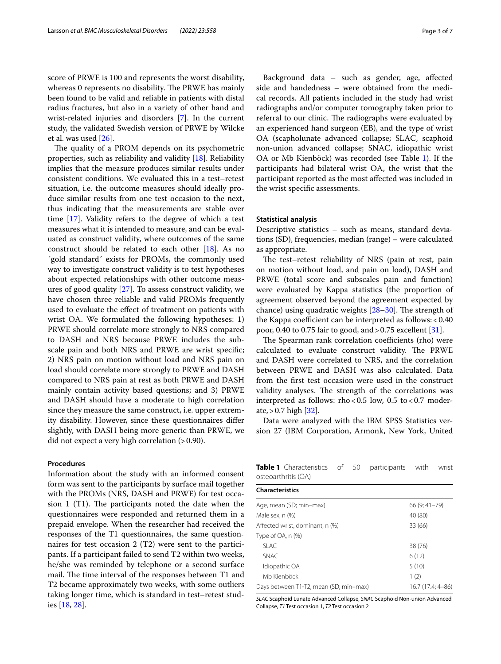score of PRWE is 100 and represents the worst disability, whereas 0 represents no disability. The PRWE has mainly been found to be valid and reliable in patients with distal radius fractures, but also in a variety of other hand and wrist-related injuries and disorders [\[7](#page-5-6)]. In the current study, the validated Swedish version of PRWE by Wilcke et al. was used [[26](#page-6-11)].

The quality of a PROM depends on its psychometric properties, such as reliability and validity  $[18]$  $[18]$ . Reliability implies that the measure produces similar results under consistent conditions. We evaluated this in a test–retest situation, i.e. the outcome measures should ideally produce similar results from one test occasion to the next, thus indicating that the measurements are stable over time [[17](#page-6-3)]. Validity refers to the degree of which a test measures what it is intended to measure, and can be evaluated as construct validity, where outcomes of the same construct should be related to each other [[18\]](#page-6-4). As no ´gold standard´ exists for PROMs, the commonly used way to investigate construct validity is to test hypotheses about expected relationships with other outcome measures of good quality [[27](#page-6-12)]. To assess construct validity, we have chosen three reliable and valid PROMs frequently used to evaluate the efect of treatment on patients with wrist OA. We formulated the following hypotheses: 1) PRWE should correlate more strongly to NRS compared to DASH and NRS because PRWE includes the subscale pain and both NRS and PRWE are wrist specifc; 2) NRS pain on motion without load and NRS pain on load should correlate more strongly to PRWE and DASH compared to NRS pain at rest as both PRWE and DASH mainly contain activity based questions; and 3) PRWE and DASH should have a moderate to high correlation since they measure the same construct, i.e. upper extremity disability. However, since these questionnaires difer slightly, with DASH being more generic than PRWE, we did not expect a very high correlation  $(>0.90)$ .

#### **Procedures**

Information about the study with an informed consent form was sent to the participants by surface mail together with the PROMs (NRS, DASH and PRWE) for test occasion 1 (T1). The participants noted the date when the questionnaires were responded and returned them in a prepaid envelope. When the researcher had received the responses of the T1 questionnaires, the same questionnaires for test occasion 2 (T2) were sent to the participants. If a participant failed to send T2 within two weeks, he/she was reminded by telephone or a second surface mail. The time interval of the responses between T1 and T2 became approximately two weeks, with some outliers taking longer time, which is standard in test–retest studies [\[18,](#page-6-4) [28](#page-6-13)].

Background data – such as gender, age, afected side and handedness – were obtained from the medical records. All patients included in the study had wrist radiographs and/or computer tomography taken prior to referral to our clinic. The radiographs were evaluated by an experienced hand surgeon (EB), and the type of wrist OA (scapholunate advanced collapse; SLAC, scaphoid non-union advanced collapse; SNAC, idiopathic wrist OA or Mb Kienböck) was recorded (see Table [1](#page-2-0)). If the participants had bilateral wrist OA, the wrist that the participant reported as the most afected was included in the wrist specifc assessments.

#### **Statistical analysis**

Descriptive statistics – such as means, standard deviations (SD), frequencies, median (range) – were calculated as appropriate.

The test–retest reliability of NRS (pain at rest, pain on motion without load, and pain on load), DASH and PRWE (total score and subscales pain and function) were evaluated by Kappa statistics (the proportion of agreement observed beyond the agreement expected by chance) using quadratic weights  $[28-30]$  $[28-30]$ . The strength of the Kappa coefficient can be interpreted as follows:  $< 0.40$ poor, 0.40 to 0.75 fair to good, and  $> 0.75$  excellent [[31\]](#page-6-15).

The Spearman rank correlation coefficients (rho) were calculated to evaluate construct validity. The PRWE and DASH were correlated to NRS, and the correlation between PRWE and DASH was also calculated. Data from the frst test occasion were used in the construct validity analyses. The strength of the correlations was interpreted as follows: rho<0.5 low, 0.5 to<0.7 moderate,  $> 0.7$  high  $[32]$  $[32]$ .

Data were analyzed with the IBM SPSS Statistics version 27 (IBM Corporation, Armonk, New York, United

<span id="page-2-0"></span>**Table 1** Characteristics of 50 participants with wrist osteoarthritis (OA)

| <b>Characteristics</b>                 |                   |
|----------------------------------------|-------------------|
| Age, mean (SD; min-max)                | 66 (9:41-79)      |
| Male sex. n (%)                        | 40 (80)           |
| Affected wrist, dominant, n (%)        | 33 (66)           |
| Type of $OA$ , n $(\%)$                |                   |
| SLAC.                                  | 38 (76)           |
| <b>SNAC</b>                            | 6(12)             |
| Idiopathic OA                          | 5(10)             |
| Mb Kienböck                            | 1(2)              |
| Days between T1-T2, mean (SD; min-max) | 16.7 (17.4: 4–86) |

*SLAC* Scaphoid Lunate Advanced Collapse, *SNAC* Scaphoid Non-union Advanced Collapse, *T1* Test occasion 1, *T2* Test occasion 2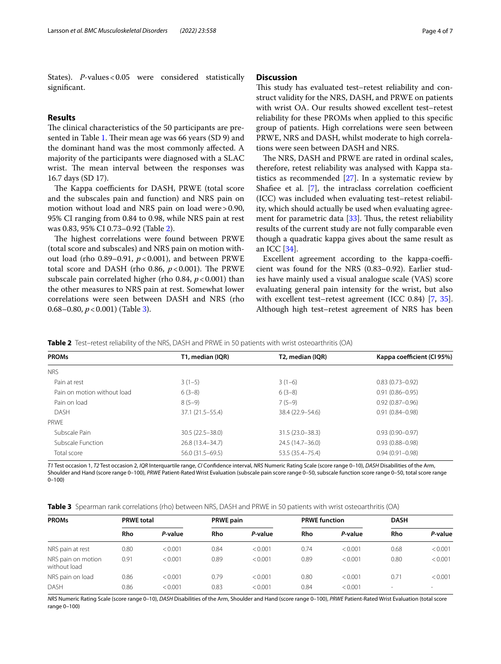States). *P*-values < 0.05 were considered statistically signifcant.

#### **Results**

The clinical characteristics of the 50 participants are pre-sented in Table [1](#page-2-0). Their mean age was 66 years (SD 9) and the dominant hand was the most commonly afected. A majority of the participants were diagnosed with a SLAC wrist. The mean interval between the responses was 16.7 days (SD 17).

The Kappa coefficients for DASH, PRWE (total score and the subscales pain and function) and NRS pain on motion without load and NRS pain on load were>0.90, 95% CI ranging from 0.84 to 0.98, while NRS pain at rest was 0.83, 95% CI 0.73–0.92 (Table [2](#page-3-0)).

The highest correlations were found between PRWE (total score and subscales) and NRS pain on motion without load (rho  $0.89-0.91$ ,  $p < 0.001$ ), and between PRWE total score and DASH (rho 0.86,  $p < 0.001$ ). The PRWE subscale pain correlated higher (rho 0.84,  $p < 0.001$ ) than the other measures to NRS pain at rest. Somewhat lower correlations were seen between DASH and NRS (rho 0.68–0.80, *p*<0.001) (Table [3](#page-3-1)).

# **Discussion**

This study has evaluated test–retest reliability and construct validity for the NRS, DASH, and PRWE on patients with wrist OA. Our results showed excellent test–retest reliability for these PROMs when applied to this specifc group of patients. High correlations were seen between PRWE, NRS and DASH, whilst moderate to high correlations were seen between DASH and NRS.

The NRS, DASH and PRWE are rated in ordinal scales, therefore, retest reliability was analysed with Kappa statistics as recommended [\[27](#page-6-12)]. In a systematic review by Shafiee et al.  $[7]$  $[7]$ , the intraclass correlation coefficient (ICC) was included when evaluating test–retest reliability, which should actually be used when evaluating agreement for parametric data  $[33]$  $[33]$ . Thus, the retest reliability results of the current study are not fully comparable even though a quadratic kappa gives about the same result as an ICC [\[34](#page-6-18)].

Excellent agreement according to the kappa-coefficient was found for the NRS (0.83–0.92). Earlier studies have mainly used a visual analogue scale (VAS) score evaluating general pain intensity for the wrist, but also with excellent test–retest agreement (ICC 0.84) [\[7](#page-5-6), [35](#page-6-19)]. Although high test–retest agreement of NRS has been

<span id="page-3-0"></span>**Table 2** Test–retest reliability of the NRS, DASH and PRWE in 50 patients with wrist osteoarthritis (OA)

| <b>PROMs</b>                | T1, median (IQR)   | T2, median (IQR)   | Kappa coefficient (CI 95%) |  |  |
|-----------------------------|--------------------|--------------------|----------------------------|--|--|
| <b>NRS</b>                  |                    |                    |                            |  |  |
| Pain at rest                | $3(1-5)$           | $3(1-6)$           | $0.83(0.73 - 0.92)$        |  |  |
| Pain on motion without load | $6(3-8)$           | $6(3-8)$           | $0.91(0.86 - 0.95)$        |  |  |
| Pain on load                | $8(5-9)$           | $7(5-9)$           | $0.92(0.87 - 0.96)$        |  |  |
| <b>DASH</b>                 | 37.1 (21.5–55.4)   | 38.4 (22.9–54.6)   | $0.91(0.84 - 0.98)$        |  |  |
| PRWF                        |                    |                    |                            |  |  |
| Subscale Pain               | 30.5 (22.5 - 38.0) | 31.5 (23.0-38.3)   | $0.93(0.90 - 0.97)$        |  |  |
| Subscale Function           | 26.8 (13.4 - 34.7) | 24.5 (14.7–36.0)   | $0.93(0.88 - 0.98)$        |  |  |
| Total score                 | 56.0 (31.5 - 69.5) | 53.5 (35.4 - 75.4) | $0.94(0.91 - 0.98)$        |  |  |

*T1* Test occasion 1, *T2* Test occasion 2, *IQR* Interquartile range, *CI* Confdence interval, *NRS* Numeric Rating Scale (score range 0–10), *DASH* Disabilities of the Arm, Shoulder and Hand (score range 0–100), *PRWE* Patient-Rated Wrist Evaluation (subscale pain score range 0–50, subscale function score range 0–50, total score range 0–100)

<span id="page-3-1"></span>

|  |  |  |  |  |  | <b>Table 3</b> Spearman rank correlations (rho) between NRS, DASH and PRWE in 50 patients with wrist osteoarthritis (OA) |
|--|--|--|--|--|--|--------------------------------------------------------------------------------------------------------------------------|
|--|--|--|--|--|--|--------------------------------------------------------------------------------------------------------------------------|

| <b>PROMs</b>                       | <b>PRWE total</b> |         | <b>PRWE pain</b> |         | <b>PRWE function</b> |         | <b>DASH</b> |         |
|------------------------------------|-------------------|---------|------------------|---------|----------------------|---------|-------------|---------|
|                                    | Rho               | P-value | Rho              | P-value | Rho                  | P-value | Rho         | P-value |
| NRS pain at rest                   | 0.80              | < 0.001 | 0.84             | < 0.001 | 0.74                 | < 0.001 | 0.68        | < 0.001 |
| NRS pain on motion<br>without load | 0.91              | < 0.001 | 0.89             | < 0.001 | 0.89                 | < 0.001 | 0.80        | < 0.001 |
| NRS pain on load                   | 0.86              | < 0.001 | 0.79             | < 0.001 | 0.80                 | < 0.001 | 0.71        | < 0.001 |
| <b>DASH</b>                        | 0.86              | < 0.001 | 0.83             | < 0.001 | 0.84                 | < 0.001 | $\sim$      |         |

*NRS* Numeric Rating Scale (score range 0–10), *DASH* Disabilities of the Arm, Shoulder and Hand (score range 0–100), *PRWE* Patient-Rated Wrist Evaluation (total score range 0–100)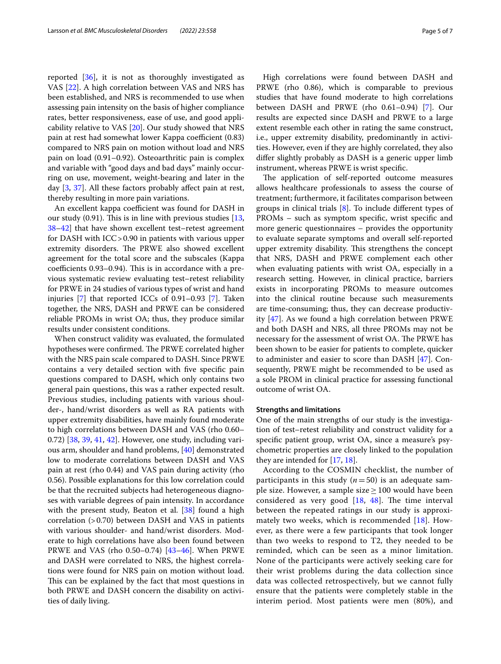reported [[36\]](#page-6-20), it is not as thoroughly investigated as VAS [\[22\]](#page-6-7). A high correlation between VAS and NRS has been established, and NRS is recommended to use when assessing pain intensity on the basis of higher compliance rates, better responsiveness, ease of use, and good applicability relative to VAS [[20\]](#page-6-6). Our study showed that NRS pain at rest had somewhat lower Kappa coefficient (0.83) compared to NRS pain on motion without load and NRS pain on load (0.91–0.92). Osteoarthritic pain is complex and variable with "good days and bad days" mainly occurring on use, movement, weight-bearing and later in the day [\[3](#page-5-2), [37](#page-6-21)]. All these factors probably afect pain at rest, thereby resulting in more pain variations.

An excellent kappa coefficient was found for DASH in our study  $(0.91)$ . This is in line with previous studies  $[13, 13]$  $[13, 13]$ [38–](#page-6-22)[42](#page-6-23)] that have shown excellent test–retest agreement for DASH with ICC>0.90 in patients with various upper extremity disorders. The PRWE also showed excellent agreement for the total score and the subscales (Kappa  $coefficients$   $0.93-0.94$ ). This is in accordance with a previous systematic review evaluating test–retest reliability for PRWE in 24 studies of various types of wrist and hand injuries [[7\]](#page-5-6) that reported ICCs of 0.91–0.93 [\[7](#page-5-6)]. Taken together, the NRS, DASH and PRWE can be considered reliable PROMs in wrist OA; thus, they produce similar results under consistent conditions.

When construct validity was evaluated, the formulated hypotheses were confirmed. The PRWE correlated higher with the NRS pain scale compared to DASH. Since PRWE contains a very detailed section with fve specifc pain questions compared to DASH, which only contains two general pain questions, this was a rather expected result. Previous studies, including patients with various shoulder-, hand/wrist disorders as well as RA patients with upper extremity disabilities, have mainly found moderate to high correlations between DASH and VAS (rho 0.60– 0.72) [[38,](#page-6-22) [39](#page-6-24), [41](#page-6-25), [42\]](#page-6-23). However, one study, including various arm, shoulder and hand problems, [\[40](#page-6-26)] demonstrated low to moderate correlations between DASH and VAS pain at rest (rho 0.44) and VAS pain during activity (rho 0.56). Possible explanations for this low correlation could be that the recruited subjects had heterogeneous diagnoses with variable degrees of pain intensity. In accordance with the present study, Beaton et al. [[38\]](#page-6-22) found a high correlation  $(>0.70)$  between DASH and VAS in patients with various shoulder- and hand/wrist disorders. Moderate to high correlations have also been found between PRWE and VAS (rho 0.50–0.74) [[43](#page-6-27)[–46](#page-6-28)]. When PRWE and DASH were correlated to NRS, the highest correlations were found for NRS pain on motion without load. This can be explained by the fact that most questions in both PRWE and DASH concern the disability on activities of daily living.

High correlations were found between DASH and PRWE (rho 0.86), which is comparable to previous studies that have found moderate to high correlations between DASH and PRWE (rho 0.61–0.94) [[7\]](#page-5-6). Our results are expected since DASH and PRWE to a large extent resemble each other in rating the same construct, i.e., upper extremity disability, predominantly in activities. However, even if they are highly correlated, they also difer slightly probably as DASH is a generic upper limb instrument, whereas PRWE is wrist specifc.

The application of self-reported outcome measures allows healthcare professionals to assess the course of treatment; furthermore, it facilitates comparison between groups in clinical trials [[8\]](#page-5-8). To include diferent types of PROMs – such as symptom specifc, wrist specifc and more generic questionnaires – provides the opportunity to evaluate separate symptoms and overall self-reported upper extremity disability. This strengthens the concept that NRS, DASH and PRWE complement each other when evaluating patients with wrist OA, especially in a research setting. However, in clinical practice, barriers exists in incorporating PROMs to measure outcomes into the clinical routine because such measurements are time-consuming; thus, they can decrease productivity [[47](#page-6-29)]. As we found a high correlation between PRWE and both DASH and NRS, all three PROMs may not be necessary for the assessment of wrist OA. The PRWE has been shown to be easier for patients to complete, quicker to administer and easier to score than DASH [\[47](#page-6-29)]. Consequently, PRWE might be recommended to be used as a sole PROM in clinical practice for assessing functional outcome of wrist OA.

#### **Strengths and limitations**

One of the main strengths of our study is the investigation of test–retest reliability and construct validity for a specifc patient group, wrist OA, since a measure's psychometric properties are closely linked to the population they are intended for [\[17](#page-6-3), [18\]](#page-6-4).

According to the COSMIN checklist, the number of participants in this study  $(n=50)$  is an adequate sample size. However, a sample size  $\geq 100$  would have been considered as very good  $[18, 48]$  $[18, 48]$  $[18, 48]$  $[18, 48]$  $[18, 48]$ . The time interval between the repeated ratings in our study is approximately two weeks, which is recommended [\[18](#page-6-4)]. However, as there were a few participants that took longer than two weeks to respond to T2, they needed to be reminded, which can be seen as a minor limitation. None of the participants were actively seeking care for their wrist problems during the data collection since data was collected retrospectively, but we cannot fully ensure that the patients were completely stable in the interim period. Most patients were men (80%), and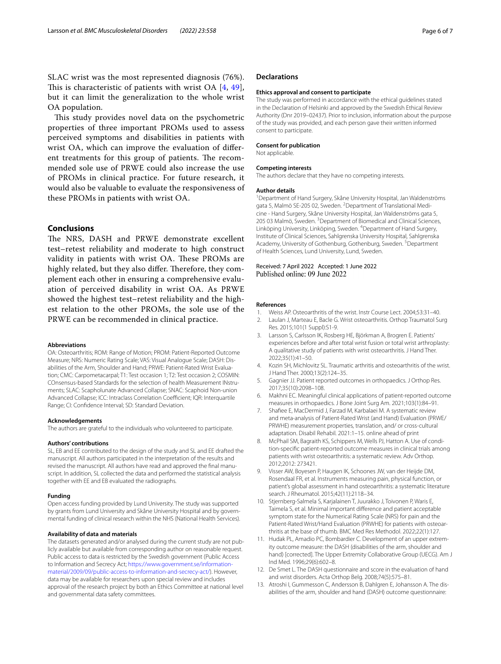SLAC wrist was the most represented diagnosis (76%). This is characteristic of patients with wrist OA  $[4, 49]$  $[4, 49]$  $[4, 49]$ , but it can limit the generalization to the whole wrist OA population.

This study provides novel data on the psychometric properties of three important PROMs used to assess perceived symptoms and disabilities in patients with wrist OA, which can improve the evaluation of diferent treatments for this group of patients. The recommended sole use of PRWE could also increase the use of PROMs in clinical practice. For future research, it would also be valuable to evaluate the responsiveness of these PROMs in patients with wrist OA.

# **Conclusions**

The NRS, DASH and PRWE demonstrate excellent test–retest reliability and moderate to high construct validity in patients with wrist OA. These PROMs are highly related, but they also differ. Therefore, they complement each other in ensuring a comprehensive evaluation of perceived disability in wrist OA. As PRWE showed the highest test–retest reliability and the highest relation to the other PROMs, the sole use of the PRWE can be recommended in clinical practice.

#### **Abbreviations**

OA: Osteoarthritis; ROM: Range of Motion; PROM: Patient-Reported Outcome Measure; NRS: Numeric Rating Scale; VAS: Visual Analogue Scale; DASH: Disabilities of the Arm, Shoulder and Hand; PRWE: Patient-Rated Wrist Evaluation; CMC: Carpometacarpal; T1: Test occasion 1; T2: Test occasion 2; COSMIN: COnsensus-based Standards for the selection of health Measurement INstruments; SLAC: Scapholunate Advanced Collapse; SNAC: Scaphoid Non-union Advanced Collapse; ICC: Intraclass Correlation Coefficient; IQR: Interquartile Range; CI: Confdence Interval; SD: Standard Deviation.

#### **Acknowledgements**

The authors are grateful to the individuals who volunteered to participate.

#### **Authors' contributions**

SL, EB and EE contributed to the design of the study and SL and EE drafted the manuscript. All authors participated in the interpretation of the results and revised the manuscript. All authors have read and approved the fnal manuscript. In addition, SL collected the data and performed the statistical analysis together with EE and EB evaluated the radiographs.

#### **Funding**

Open access funding provided by Lund University. The study was supported by grants from Lund University and Skåne University Hospital and by governmental funding of clinical research within the NHS (National Health Services).

#### **Availability of data and materials**

The datasets generated and/or analysed during the current study are not publicly available but available from corresponding author on reasonable request. Public access to data is restricted by the Swedish government (Public Access to Information and Secrecy Act; [https://www.government.se/information](https://www.government.se/information-material/2009/09/public-access-to-information-and-secrecy-act/)[material/2009/09/public-access-to-information-and-secrecy-act/](https://www.government.se/information-material/2009/09/public-access-to-information-and-secrecy-act/)). However, data may be available for researchers upon special review and includes approval of the research project by both an Ethics Committee at national level and governmental data safety committees.

#### **Declarations**

#### **Ethics approval and consent to participate**

The study was performed in accordance with the ethical guidelines stated in the Declaration of Helsinki and approved by the Swedish Ethical Review Authority (Dnr 2019–02437). Prior to inclusion, information about the purpose of the study was provided, and each person gave their written informed consent to participate.

#### **Consent for publication**

Not applicable.

#### **Competing interests**

The authors declare that they have no competing interests.

#### **Author details**

<sup>1</sup> Department of Hand Surgery, Skåne University Hospital, Jan Waldenströms gata 5, Malmö SE-205 02, Sweden. <sup>2</sup> Department of Translational Medicine - Hand Surgery, Skåne University Hospital, Jan Waldenströms gata 5, 205 03 Malmö, Sweden. <sup>3</sup> Department of Biomedical and Clinical Sciences, Linköping University, Linköping, Sweden. <sup>4</sup> Department of Hand Surgery, Institute of Clinical Sciences, Sahlgrenska University Hospital, Sahlgrenska Academy, University of Gothenburg, Gothenburg, Sweden.<sup>5</sup> Department of Health Sciences, Lund University, Lund, Sweden.

Received: 7 April 2022 Accepted: 1 June 2022 Published online: 09 June 2022

#### **References**

- <span id="page-5-0"></span>1. Weiss AP. Osteoarthritis of the wrist. Instr Course Lect. 2004;53:31–40.
- <span id="page-5-1"></span>2. Laulan J, Marteau E, Bacle G. Wrist osteoarthritis. Orthop Traumatol Surg Res. 2015;101(1 Suppl):S1-9.
- <span id="page-5-2"></span>3. Larsson S, Carlsson IK, Rosberg HE, Björkman A, Brogren E. Patients' experiences before and after total wrist fusion or total wrist arthroplasty: A qualitative study of patients with wrist osteoarthritis. J Hand Ther. 2022;35(1):41–50.
- <span id="page-5-3"></span>4. Kozin SH, Michlovitz SL. Traumatic arthritis and osteoarthritis of the wrist. J Hand Ther. 2000;13(2):124–35.
- <span id="page-5-4"></span>5. Gagnier JJ. Patient reported outcomes in orthopaedics. J Orthop Res. 2017;35(10):2098–108.
- <span id="page-5-5"></span>6. Makhni EC. Meaningful clinical applications of patient-reported outcome measures in orthopaedics. J Bone Joint Surg Am. 2021;103(1):84–91.
- <span id="page-5-6"></span>7. Shafee E, MacDermid J, Farzad M, Karbalaei M. A systematic review and meta-analysis of Patient-Rated Wrist (and Hand) Evaluation (PRWE/ PRWHE) measurement properties, translation, and/ or cross-cultural adaptation. Disabil Rehabil. 2021:1–15. online ahead of print
- <span id="page-5-8"></span>8. McPhail SM, Bagraith KS, Schippers M, Wells PJ, Hatton A. Use of condition-specifc patient-reported outcome measures in clinical trials among patients with wrist osteoarthritis: a systematic review. Adv Orthop. 2012;2012: 273421.
- 9. Visser AW, Boyesen P, Haugen IK, Schoones JW, van der Heijde DM, Rosendaal FR, et al. Instruments measuring pain, physical function, or patient's global assessment in hand osteoarthritis: a systematic literature search. J Rheumatol. 2015;42(11):2118–34.
- <span id="page-5-7"></span>10. Stjernberg-Salmela S, Karjalainen T, Juurakko J, Toivonen P, Waris E, Taimela S, et al. Minimal important diference and patient acceptable symptom state for the Numerical Rating Scale (NRS) for pain and the Patient-Rated Wrist/Hand Evaluation (PRWHE) for patients with osteoarthritis at the base of thumb. BMC Med Res Methodol. 2022;22(1):127.
- <span id="page-5-9"></span>11. Hudak PL, Amadio PC, Bombardier C. Development of an upper extremity outcome measure: the DASH (disabilities of the arm, shoulder and hand) [corrected]. The Upper Extremity Collaborative Group (UECG). Am J Ind Med. 1996;29(6):602–8.
- <span id="page-5-11"></span>12. De Smet L. The DASH questionnaire and score in the evaluation of hand and wrist disorders. Acta Orthop Belg. 2008;74(5):575–81.
- <span id="page-5-10"></span>13. Atroshi I, Gummesson C, Andersson B, Dahlgren E, Johansson A. The disabilities of the arm, shoulder and hand (DASH) outcome questionnaire: